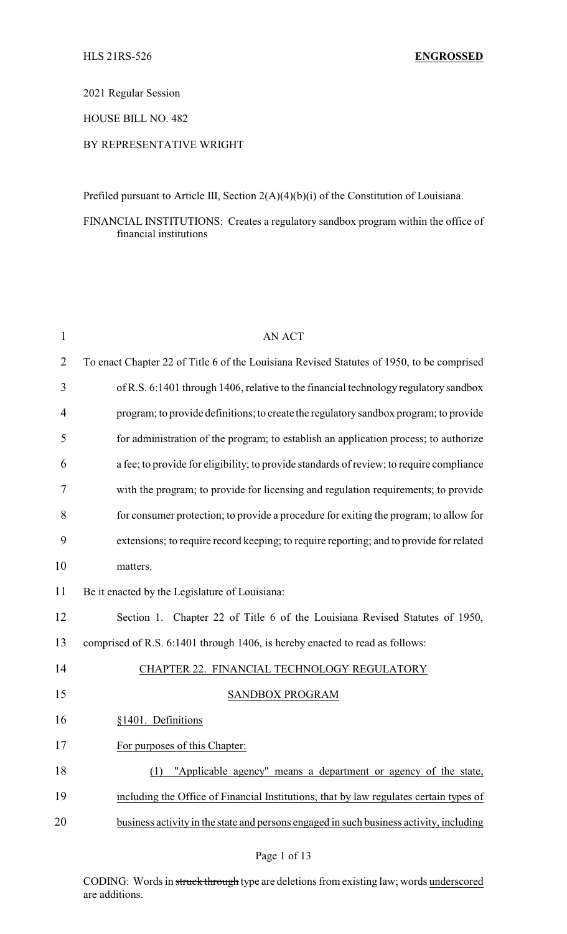2021 Regular Session

HOUSE BILL NO. 482

### BY REPRESENTATIVE WRIGHT

Prefiled pursuant to Article III, Section 2(A)(4)(b)(i) of the Constitution of Louisiana.

FINANCIAL INSTITUTIONS: Creates a regulatory sandbox program within the office of financial institutions

| $\mathbf{1}$ | <b>AN ACT</b>                                                                             |
|--------------|-------------------------------------------------------------------------------------------|
| 2            | To enact Chapter 22 of Title 6 of the Louisiana Revised Statutes of 1950, to be comprised |
| 3            | of R.S. 6:1401 through 1406, relative to the financial technology regulatory sandbox      |
| 4            | program; to provide definitions; to create the regulatory sandbox program; to provide     |
| 5            | for administration of the program; to establish an application process; to authorize      |
| 6            | a fee; to provide for eligibility; to provide standards of review; to require compliance  |
| 7            | with the program; to provide for licensing and regulation requirements; to provide        |
| 8            | for consumer protection; to provide a procedure for exiting the program; to allow for     |
| 9            | extensions; to require record keeping; to require reporting; and to provide for related   |
| 10           | matters.                                                                                  |
| 11           | Be it enacted by the Legislature of Louisiana:                                            |
| 12           | Section 1. Chapter 22 of Title 6 of the Louisiana Revised Statutes of 1950,               |
| 13           | comprised of R.S. 6:1401 through 1406, is hereby enacted to read as follows:              |
| 14           | CHAPTER 22. FINANCIAL TECHNOLOGY REGULATORY                                               |
| 15           | SANDBOX PROGRAM                                                                           |
| 16           | §1401. Definitions                                                                        |
| 17           | For purposes of this Chapter:                                                             |
| 18           | "Applicable agency" means a department or agency of the state,<br>(1)                     |
| 19           | including the Office of Financial Institutions, that by law regulates certain types of    |
| 20           | business activity in the state and persons engaged in such business activity, including   |
|              |                                                                                           |

CODING: Words in struck through type are deletions from existing law; words underscored are additions.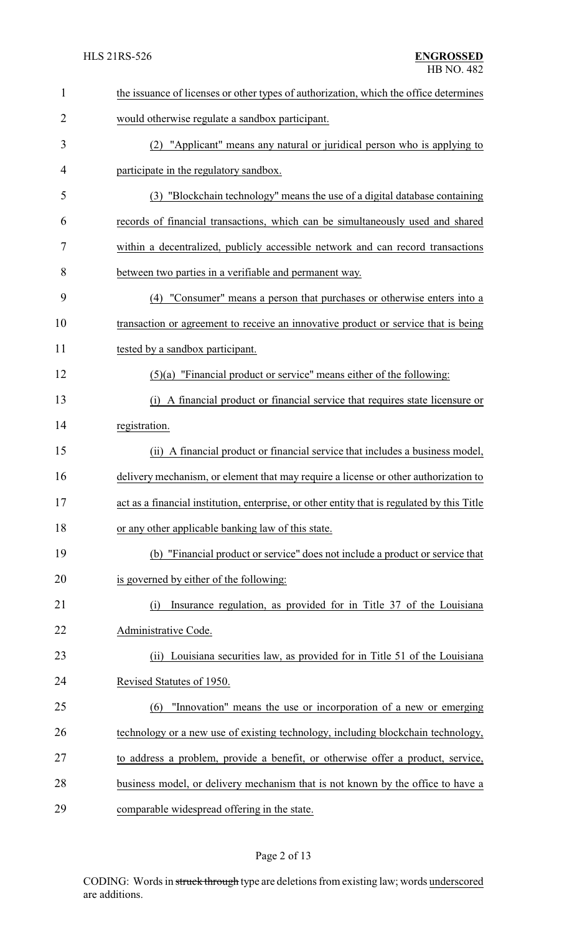| $\mathbf{1}$   | the issuance of licenses or other types of authorization, which the office determines       |
|----------------|---------------------------------------------------------------------------------------------|
| $\overline{2}$ | would otherwise regulate a sandbox participant.                                             |
| 3              | (2) "Applicant" means any natural or juridical person who is applying to                    |
| 4              | participate in the regulatory sandbox.                                                      |
| 5              | (3) "Blockchain technology" means the use of a digital database containing                  |
| 6              | records of financial transactions, which can be simultaneously used and shared              |
| 7              | within a decentralized, publicly accessible network and can record transactions             |
| 8              | between two parties in a verifiable and permanent way.                                      |
| 9              | (4) "Consumer" means a person that purchases or otherwise enters into a                     |
| 10             | transaction or agreement to receive an innovative product or service that is being          |
| 11             | tested by a sandbox participant.                                                            |
| 12             | $(5)(a)$ "Financial product or service" means either of the following:                      |
| 13             | A financial product or financial service that requires state licensure or<br>(i)            |
| 14             | registration.                                                                               |
| 15             | (ii) A financial product or financial service that includes a business model,               |
| 16             | delivery mechanism, or element that may require a license or other authorization to         |
| 17             | act as a financial institution, enterprise, or other entity that is regulated by this Title |
| 18             | or any other applicable banking law of this state.                                          |
| 19             | (b) "Financial product or service" does not include a product or service that               |
| 20             | is governed by either of the following:                                                     |
| 21             | Insurance regulation, as provided for in Title 37 of the Louisiana<br>(i)                   |
| 22             | Administrative Code.                                                                        |
| 23             | (ii) Louisiana securities law, as provided for in Title 51 of the Louisiana                 |
| 24             | Revised Statutes of 1950.                                                                   |
| 25             | "Innovation" means the use or incorporation of a new or emerging<br>(6)                     |
| 26             | technology or a new use of existing technology, including blockchain technology,            |
| 27             | to address a problem, provide a benefit, or otherwise offer a product, service,             |
| 28             | business model, or delivery mechanism that is not known by the office to have a             |
| 29             | comparable widespread offering in the state.                                                |

## Page 2 of 13

CODING: Words in struck through type are deletions from existing law; words underscored are additions.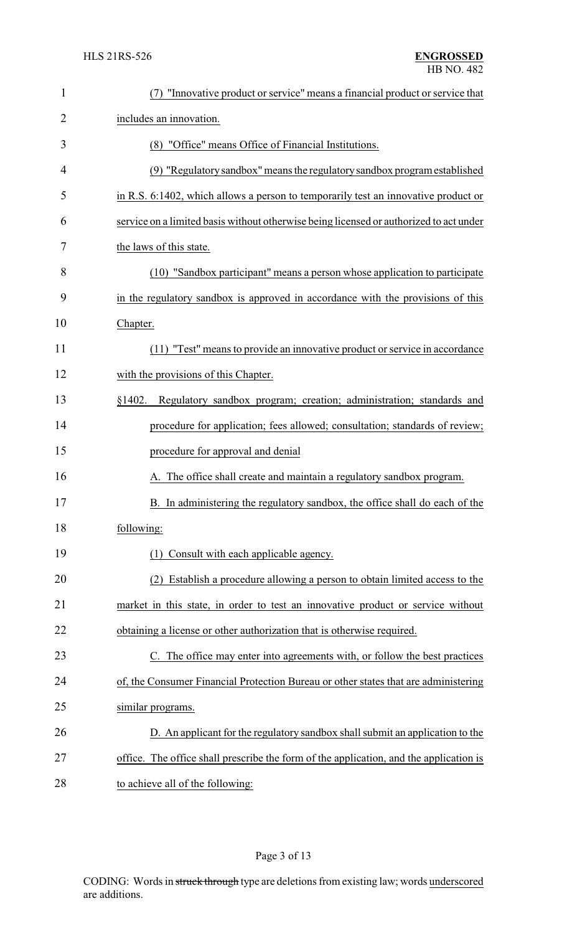| $\mathbf{1}$   | (7) "Innovative product or service" means a financial product or service that          |
|----------------|----------------------------------------------------------------------------------------|
| $\overline{2}$ | includes an innovation.                                                                |
| 3              | (8) "Office" means Office of Financial Institutions.                                   |
| 4              | (9) "Regulatory sandbox" means the regulatory sandbox program established              |
| 5              | in R.S. 6:1402, which allows a person to temporarily test an innovative product or     |
| 6              | service on a limited basis without otherwise being licensed or authorized to act under |
| 7              | the laws of this state.                                                                |
| 8              | (10) "Sandbox participant" means a person whose application to participate             |
| 9              | in the regulatory sandbox is approved in accordance with the provisions of this        |
| 10             | Chapter.                                                                               |
| 11             | (11) "Test" means to provide an innovative product or service in accordance            |
| 12             | with the provisions of this Chapter.                                                   |
| 13             | §1402.<br>Regulatory sandbox program; creation; administration; standards and          |
| 14             | procedure for application; fees allowed; consultation; standards of review;            |
| 15             | procedure for approval and denial                                                      |
| 16             | A. The office shall create and maintain a regulatory sandbox program.                  |
| 17             | B. In administering the regulatory sandbox, the office shall do each of the            |
| 18             | following:                                                                             |
| 19             | Consult with each applicable agency.                                                   |
| 20             | Establish a procedure allowing a person to obtain limited access to the                |
| 21             | market in this state, in order to test an innovative product or service without        |
| 22             | obtaining a license or other authorization that is otherwise required.                 |
| 23             | C. The office may enter into agreements with, or follow the best practices             |
| 24             | of, the Consumer Financial Protection Bureau or other states that are administering    |
| 25             | similar programs.                                                                      |
| 26             | D. An applicant for the regulatory sandbox shall submit an application to the          |
| 27             | office. The office shall prescribe the form of the application, and the application is |
| 28             | to achieve all of the following:                                                       |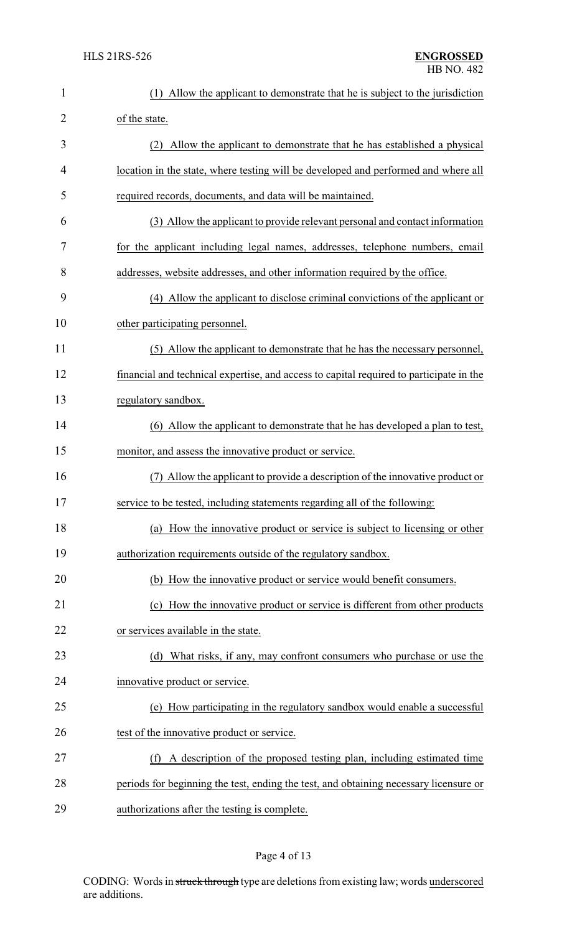| 1              | Allow the applicant to demonstrate that he is subject to the jurisdiction<br>(1)        |
|----------------|-----------------------------------------------------------------------------------------|
| $\overline{2}$ | of the state.                                                                           |
| 3              | (2) Allow the applicant to demonstrate that he has established a physical               |
| 4              | location in the state, where testing will be developed and performed and where all      |
| 5              | required records, documents, and data will be maintained.                               |
| 6              | (3) Allow the applicant to provide relevant personal and contact information            |
| 7              | for the applicant including legal names, addresses, telephone numbers, email            |
| 8              | addresses, website addresses, and other information required by the office.             |
| 9              | (4) Allow the applicant to disclose criminal convictions of the applicant or            |
| 10             | other participating personnel.                                                          |
| 11             | (5) Allow the applicant to demonstrate that he has the necessary personnel,             |
| 12             | financial and technical expertise, and access to capital required to participate in the |
| 13             | regulatory sandbox.                                                                     |
| 14             | (6) Allow the applicant to demonstrate that he has developed a plan to test,            |
| 15             | monitor, and assess the innovative product or service.                                  |
| 16             | Allow the applicant to provide a description of the innovative product or               |
| 17             | service to be tested, including statements regarding all of the following:              |
| 18             | (a) How the innovative product or service is subject to licensing or other              |
| 19             | authorization requirements outside of the regulatory sandbox.                           |
| 20             | (b) How the innovative product or service would benefit consumers.                      |
| 21             | (c) How the innovative product or service is different from other products              |
| 22             | or services available in the state.                                                     |
| 23             | (d) What risks, if any, may confront consumers who purchase or use the                  |
| 24             | innovative product or service.                                                          |
| 25             | (e) How participating in the regulatory sandbox would enable a successful               |
| 26             | test of the innovative product or service.                                              |
| 27             | (f) A description of the proposed testing plan, including estimated time                |
| 28             | periods for beginning the test, ending the test, and obtaining necessary licensure or   |
| 29             | authorizations after the testing is complete.                                           |

## Page 4 of 13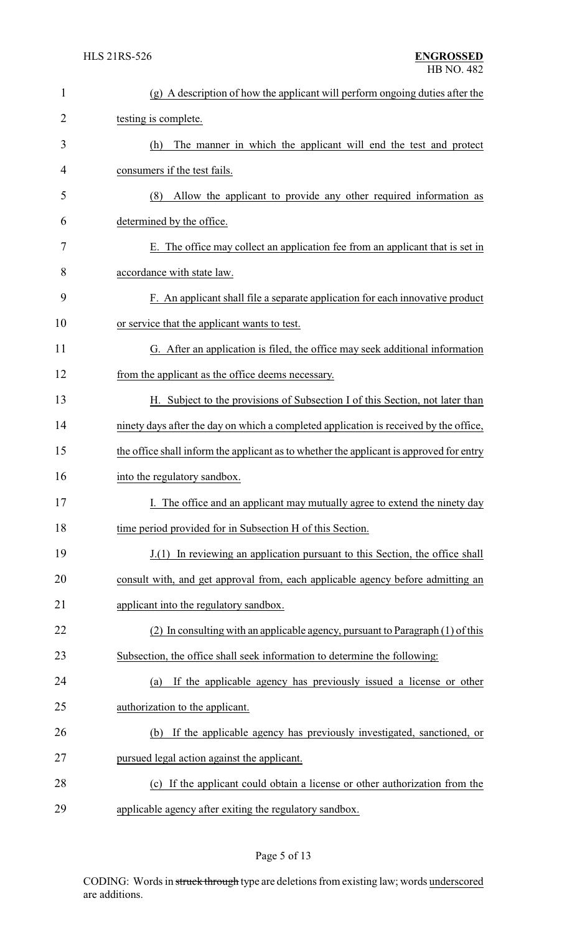| $\mathbf{1}$ | (g) A description of how the applicant will perform ongoing duties after the            |
|--------------|-----------------------------------------------------------------------------------------|
| 2            | testing is complete.                                                                    |
| 3            | The manner in which the applicant will end the test and protect<br>(h)                  |
| 4            | consumers if the test fails.                                                            |
| 5            | Allow the applicant to provide any other required information as<br>(8)                 |
| 6            | determined by the office.                                                               |
| 7            | E. The office may collect an application fee from an applicant that is set in           |
| 8            | accordance with state law.                                                              |
| 9            | F. An applicant shall file a separate application for each innovative product           |
| 10           | or service that the applicant wants to test.                                            |
| 11           | G. After an application is filed, the office may seek additional information            |
| 12           | from the applicant as the office deems necessary.                                       |
| 13           | H. Subject to the provisions of Subsection I of this Section, not later than            |
| 14           | ninety days after the day on which a completed application is received by the office,   |
| 15           | the office shall inform the applicant as to whether the applicant is approved for entry |
| 16           | into the regulatory sandbox.                                                            |
| 17           | I. The office and an applicant may mutually agree to extend the ninety day              |
| 18           | time period provided for in Subsection H of this Section.                               |
| 19           | J.(1) In reviewing an application pursuant to this Section, the office shall            |
| 20           | consult with, and get approval from, each applicable agency before admitting an         |
| 21           | applicant into the regulatory sandbox.                                                  |
| 22           | (2) In consulting with an applicable agency, pursuant to Paragraph (1) of this          |
| 23           | Subsection, the office shall seek information to determine the following:               |
| 24           | If the applicable agency has previously issued a license or other<br>(a)                |
| 25           | authorization to the applicant.                                                         |
| 26           | If the applicable agency has previously investigated, sanctioned, or<br>(b)             |
| 27           | pursued legal action against the applicant.                                             |
| 28           | (c) If the applicant could obtain a license or other authorization from the             |
| 29           | applicable agency after exiting the regulatory sandbox.                                 |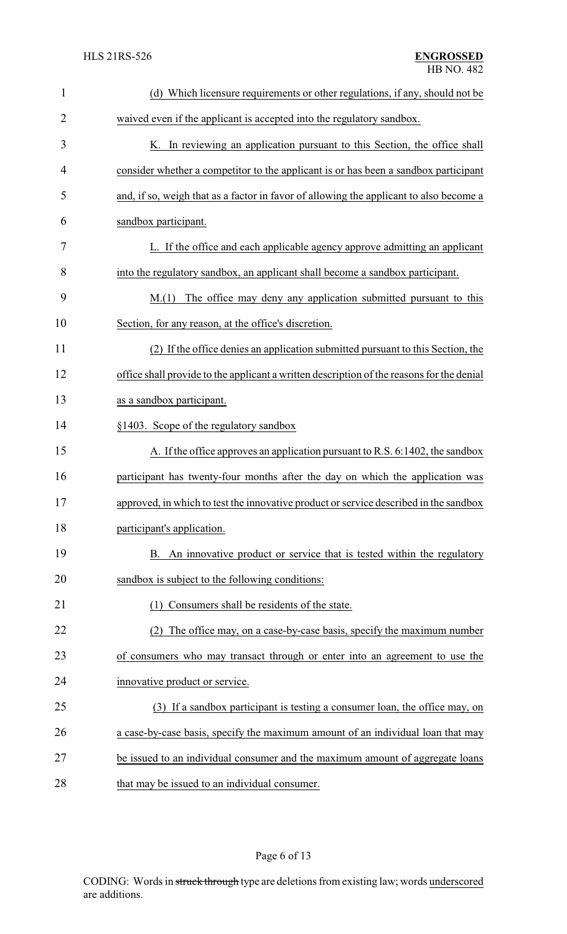| $\mathbf{1}$   | (d) Which licensure requirements or other regulations, if any, should not be              |
|----------------|-------------------------------------------------------------------------------------------|
| $\overline{2}$ | waived even if the applicant is accepted into the regulatory sandbox.                     |
| 3              | K. In reviewing an application pursuant to this Section, the office shall                 |
| 4              | consider whether a competitor to the applicant is or has been a sandbox participant       |
| 5              | and, if so, weigh that as a factor in favor of allowing the applicant to also become a    |
| 6              | sandbox participant.                                                                      |
| 7              | L. If the office and each applicable agency approve admitting an applicant                |
| 8              | into the regulatory sandbox, an applicant shall become a sandbox participant.             |
| 9              | The office may deny any application submitted pursuant to this<br>M(1)                    |
| 10             | Section, for any reason, at the office's discretion.                                      |
| 11             | (2) If the office denies an application submitted pursuant to this Section, the           |
| 12             | office shall provide to the applicant a written description of the reasons for the denial |
| 13             | as a sandbox participant.                                                                 |
| 14             | §1403. Scope of the regulatory sandbox                                                    |
| 15             | A. If the office approves an application pursuant to R.S. 6:1402, the sandbox             |
| 16             | participant has twenty-four months after the day on which the application was             |
| 17             | approved, in which to test the innovative product or service described in the sandbox     |
| 18             | participant's application.                                                                |
| 19             | B. An innovative product or service that is tested within the regulatory                  |
| 20             | sandbox is subject to the following conditions:                                           |
| 21             | Consumers shall be residents of the state.                                                |
| 22             | (2) The office may, on a case-by-case basis, specify the maximum number                   |
| 23             | of consumers who may transact through or enter into an agreement to use the               |
| 24             | innovative product or service.                                                            |
| 25             | (3) If a sandbox participant is testing a consumer loan, the office may, on               |
| 26             | a case-by-case basis, specify the maximum amount of an individual loan that may           |
| 27             | be issued to an individual consumer and the maximum amount of aggregate loans             |
| 28             | that may be issued to an individual consumer.                                             |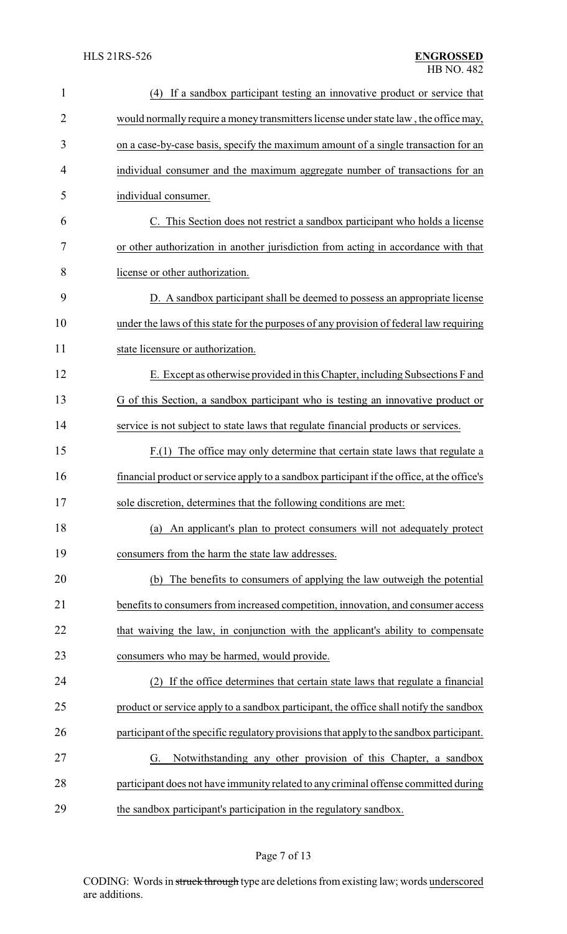| $\mathbf{1}$ | If a sandbox participant testing an innovative product or service that<br>(4)              |
|--------------|--------------------------------------------------------------------------------------------|
| 2            | would normally require a money transmitters license under state law, the office may,       |
| 3            | on a case-by-case basis, specify the maximum amount of a single transaction for an         |
| 4            | individual consumer and the maximum aggregate number of transactions for an                |
| 5            | individual consumer.                                                                       |
| 6            | C. This Section does not restrict a sandbox participant who holds a license                |
| 7            | or other authorization in another jurisdiction from acting in accordance with that         |
| 8            | license or other authorization.                                                            |
| 9            | D. A sandbox participant shall be deemed to possess an appropriate license                 |
| 10           | under the laws of this state for the purposes of any provision of federal law requiring    |
| 11           | state licensure or authorization.                                                          |
| 12           | E. Except as otherwise provided in this Chapter, including Subsections F and               |
| 13           | G of this Section, a sandbox participant who is testing an innovative product or           |
| 14           | service is not subject to state laws that regulate financial products or services.         |
| 15           | F.(1) The office may only determine that certain state laws that regulate a                |
| 16           | financial product or service apply to a sandbox participant if the office, at the office's |
| 17           | sole discretion, determines that the following conditions are met:                         |
| 18           | An applicant's plan to protect consumers will not adequately protect<br>(a)                |
| 19           | consumers from the harm the state law addresses.                                           |
| 20           | (b) The benefits to consumers of applying the law outweigh the potential                   |
| 21           | benefits to consumers from increased competition, innovation, and consumer access          |
| 22           | that waiving the law, in conjunction with the applicant's ability to compensate            |
| 23           | consumers who may be harmed, would provide.                                                |
| 24           | If the office determines that certain state laws that regulate a financial<br>(2)          |
| 25           | product or service apply to a sandbox participant, the office shall notify the sandbox     |
| 26           | participant of the specific regulatory provisions that apply to the sandbox participant.   |
| 27           | Notwithstanding any other provision of this Chapter, a sandbox<br>G.                       |
| 28           | participant does not have immunity related to any criminal offense committed during        |
| 29           | the sandbox participant's participation in the regulatory sandbox.                         |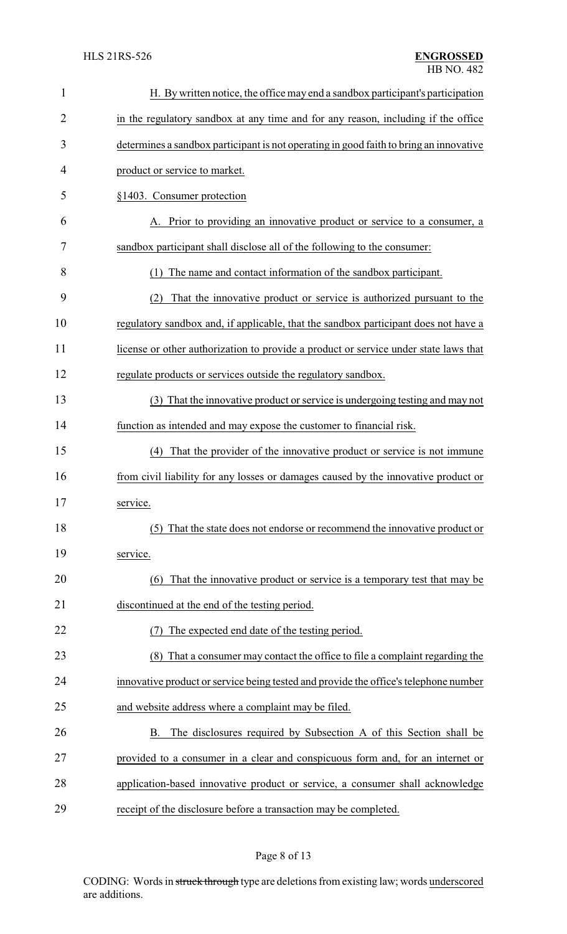| $\mathbf{1}$ | H. By written notice, the office may end a sandbox participant's participation         |
|--------------|----------------------------------------------------------------------------------------|
| 2            | in the regulatory sandbox at any time and for any reason, including if the office      |
| 3            | determines a sandbox participant is not operating in good faith to bring an innovative |
| 4            | product or service to market.                                                          |
| 5            | §1403. Consumer protection                                                             |
| 6            | Prior to providing an innovative product or service to a consumer, a                   |
| 7            | sandbox participant shall disclose all of the following to the consumer:               |
| 8            | (1) The name and contact information of the sandbox participant.                       |
| 9            | That the innovative product or service is authorized pursuant to the<br>(2)            |
| 10           | regulatory sandbox and, if applicable, that the sandbox participant does not have a    |
| 11           | license or other authorization to provide a product or service under state laws that   |
| 12           | regulate products or services outside the regulatory sandbox.                          |
| 13           | (3) That the innovative product or service is undergoing testing and may not           |
| 14           | function as intended and may expose the customer to financial risk.                    |
| 15           | (4) That the provider of the innovative product or service is not immune               |
| 16           | from civil liability for any losses or damages caused by the innovative product or     |
| 17           | service.                                                                               |
| 18           | (5) That the state does not endorse or recommend the innovative product or             |
| 19           | service.                                                                               |
| 20           | That the innovative product or service is a temporary test that may be<br>(6)          |
| 21           | discontinued at the end of the testing period.                                         |
| 22           | The expected end date of the testing period.                                           |
| 23           | (8) That a consumer may contact the office to file a complaint regarding the           |
| 24           | innovative product or service being tested and provide the office's telephone number   |
| 25           | and website address where a complaint may be filed.                                    |
| 26           | The disclosures required by Subsection A of this Section shall be<br>B.                |
| 27           | provided to a consumer in a clear and conspicuous form and, for an internet or         |
| 28           | application-based innovative product or service, a consumer shall acknowledge          |
| 29           | receipt of the disclosure before a transaction may be completed.                       |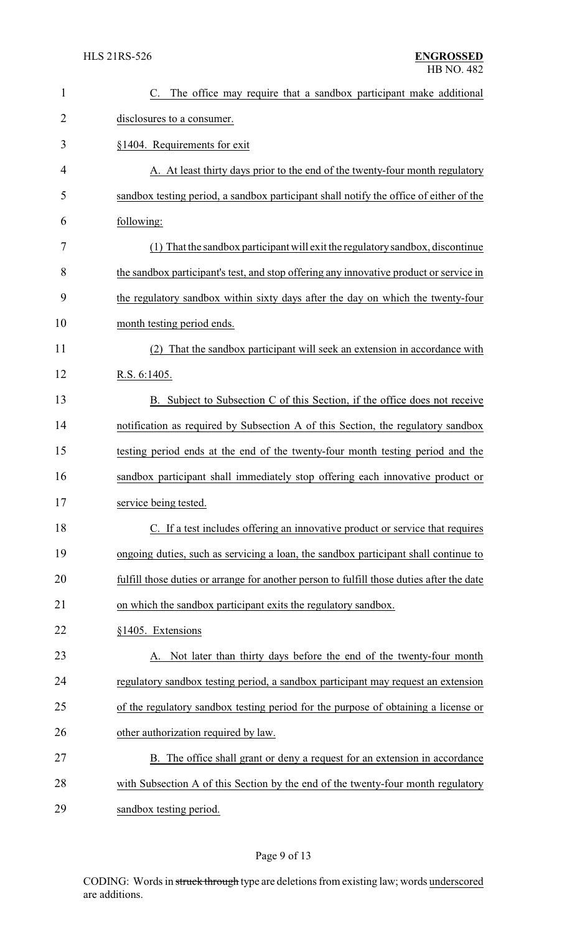| $\mathbf{1}$   | C. The office may require that a sandbox participant make additional                      |
|----------------|-------------------------------------------------------------------------------------------|
| $\overline{2}$ | disclosures to a consumer.                                                                |
| 3              | §1404. Requirements for exit                                                              |
| $\overline{4}$ | A. At least thirty days prior to the end of the twenty-four month regulatory              |
| 5              | sandbox testing period, a sandbox participant shall notify the office of either of the    |
| 6              | following:                                                                                |
| 7              | (1) That the sandbox participant will exit the regulatory sandbox, discontinue            |
| 8              | the sandbox participant's test, and stop offering any innovative product or service in    |
| 9              | the regulatory sandbox within sixty days after the day on which the twenty-four           |
| 10             | month testing period ends.                                                                |
| 11             | That the sandbox participant will seek an extension in accordance with                    |
| 12             | R.S. 6:1405.                                                                              |
| 13             | B. Subject to Subsection C of this Section, if the office does not receive                |
| 14             | notification as required by Subsection A of this Section, the regulatory sandbox          |
| 15             | testing period ends at the end of the twenty-four month testing period and the            |
| 16             | sandbox participant shall immediately stop offering each innovative product or            |
| 17             | service being tested.                                                                     |
| 18             | C. If a test includes offering an innovative product or service that requires             |
| 19             | ongoing duties, such as servicing a loan, the sandbox participant shall continue to       |
| 20             | fulfill those duties or arrange for another person to fulfill those duties after the date |
| 21             | on which the sandbox participant exits the regulatory sandbox.                            |
| 22             | §1405. Extensions                                                                         |
| 23             | Not later than thirty days before the end of the twenty-four month                        |
| 24             | regulatory sandbox testing period, a sandbox participant may request an extension         |
| 25             | of the regulatory sandbox testing period for the purpose of obtaining a license or        |
| 26             | other authorization required by law.                                                      |
| 27             | B. The office shall grant or deny a request for an extension in accordance                |
| 28             | with Subsection A of this Section by the end of the twenty-four month regulatory          |
| 29             | sandbox testing period.                                                                   |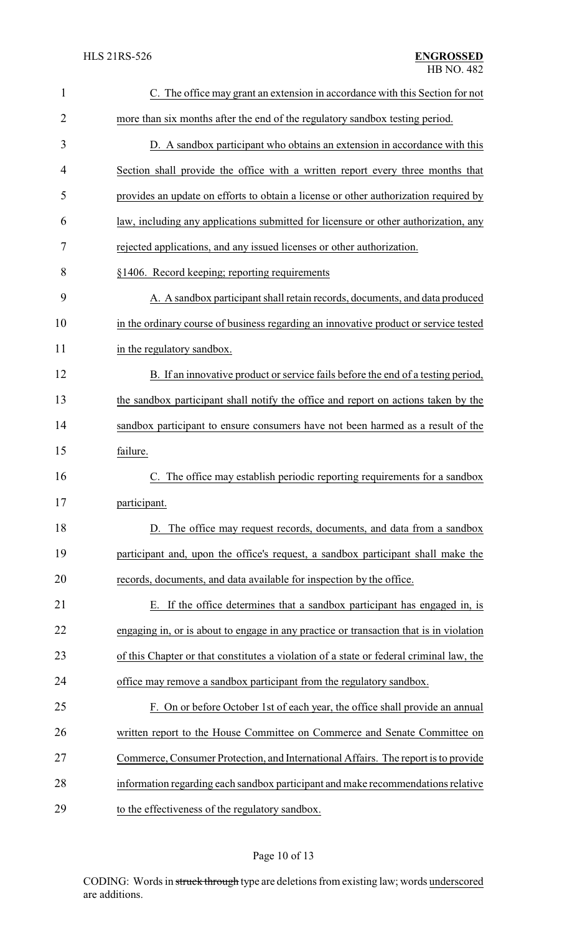| $\mathbf{1}$   | C. The office may grant an extension in accordance with this Section for not            |
|----------------|-----------------------------------------------------------------------------------------|
| $\overline{2}$ | more than six months after the end of the regulatory sandbox testing period.            |
| 3              | D. A sandbox participant who obtains an extension in accordance with this               |
| 4              | Section shall provide the office with a written report every three months that          |
| 5              | provides an update on efforts to obtain a license or other authorization required by    |
| 6              | law, including any applications submitted for licensure or other authorization, any     |
| 7              | rejected applications, and any issued licenses or other authorization.                  |
| 8              | §1406. Record keeping; reporting requirements                                           |
| 9              | A. A sandbox participant shall retain records, documents, and data produced             |
| 10             | in the ordinary course of business regarding an innovative product or service tested    |
| 11             | in the regulatory sandbox.                                                              |
| 12             | B. If an innovative product or service fails before the end of a testing period,        |
| 13             | the sandbox participant shall notify the office and report on actions taken by the      |
| 14             | sandbox participant to ensure consumers have not been harmed as a result of the         |
| 15             | failure.                                                                                |
| 16             | The office may establish periodic reporting requirements for a sandbox                  |
| 17             | participant.                                                                            |
| 18             | D. The office may request records, documents, and data from a sandbox                   |
| 19             | participant and, upon the office's request, a sandbox participant shall make the        |
| 20             | records, documents, and data available for inspection by the office.                    |
| 21             | If the office determines that a sandbox participant has engaged in, is<br>Ε.            |
| 22             | engaging in, or is about to engage in any practice or transaction that is in violation  |
| 23             | of this Chapter or that constitutes a violation of a state or federal criminal law, the |
| 24             | office may remove a sandbox participant from the regulatory sandbox.                    |
| 25             | F. On or before October 1st of each year, the office shall provide an annual            |
| 26             | written report to the House Committee on Commerce and Senate Committee on               |
| 27             | Commerce, Consumer Protection, and International Affairs. The report is to provide      |
| 28             | information regarding each sandbox participant and make recommendations relative        |
| 29             | to the effectiveness of the regulatory sandbox.                                         |

# Page 10 of 13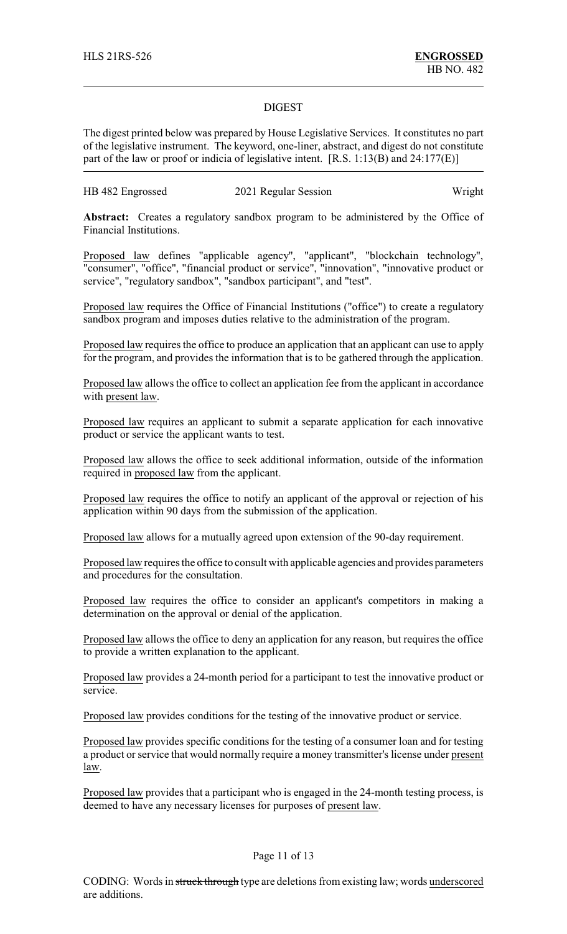#### DIGEST

The digest printed below was prepared by House Legislative Services. It constitutes no part of the legislative instrument. The keyword, one-liner, abstract, and digest do not constitute part of the law or proof or indicia of legislative intent. [R.S. 1:13(B) and 24:177(E)]

| HB 482 Engrossed<br>2021 Regular Session | Wright |
|------------------------------------------|--------|
|------------------------------------------|--------|

**Abstract:** Creates a regulatory sandbox program to be administered by the Office of Financial Institutions.

Proposed law defines "applicable agency", "applicant", "blockchain technology", "consumer", "office", "financial product or service", "innovation", "innovative product or service", "regulatory sandbox", "sandbox participant", and "test".

Proposed law requires the Office of Financial Institutions ("office") to create a regulatory sandbox program and imposes duties relative to the administration of the program.

Proposed law requires the office to produce an application that an applicant can use to apply for the program, and provides the information that is to be gathered through the application.

Proposed law allows the office to collect an application fee from the applicant in accordance with present law.

Proposed law requires an applicant to submit a separate application for each innovative product or service the applicant wants to test.

Proposed law allows the office to seek additional information, outside of the information required in proposed law from the applicant.

Proposed law requires the office to notify an applicant of the approval or rejection of his application within 90 days from the submission of the application.

Proposed law allows for a mutually agreed upon extension of the 90-day requirement.

Proposed law requires the office to consult with applicable agencies and provides parameters and procedures for the consultation.

Proposed law requires the office to consider an applicant's competitors in making a determination on the approval or denial of the application.

Proposed law allows the office to deny an application for any reason, but requires the office to provide a written explanation to the applicant.

Proposed law provides a 24-month period for a participant to test the innovative product or service.

Proposed law provides conditions for the testing of the innovative product or service.

Proposed law provides specific conditions for the testing of a consumer loan and for testing a product or service that would normally require a money transmitter's license under present law.

Proposed law provides that a participant who is engaged in the 24-month testing process, is deemed to have any necessary licenses for purposes of present law.

### Page 11 of 13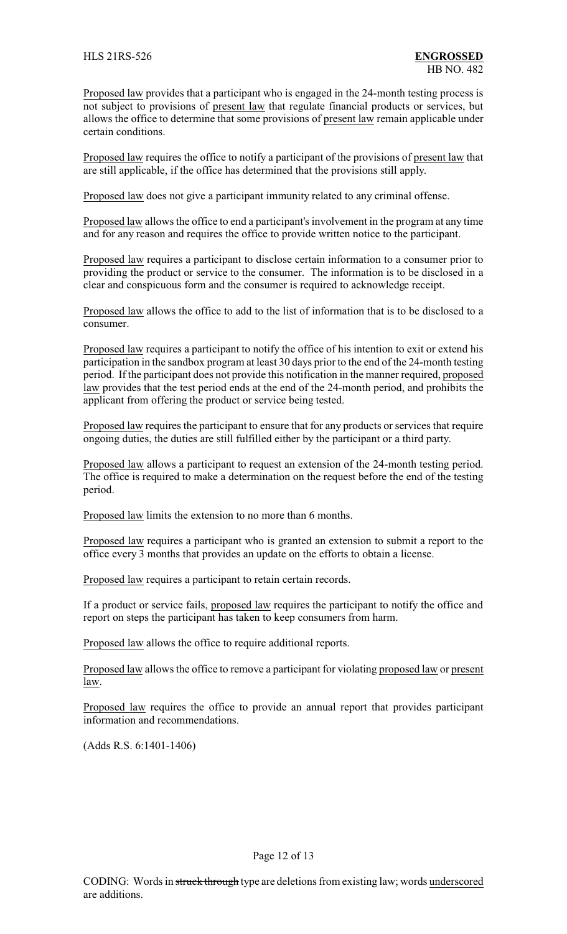Proposed law provides that a participant who is engaged in the 24-month testing process is not subject to provisions of present law that regulate financial products or services, but allows the office to determine that some provisions of present law remain applicable under certain conditions.

Proposed law requires the office to notify a participant of the provisions of present law that are still applicable, if the office has determined that the provisions still apply.

Proposed law does not give a participant immunity related to any criminal offense.

Proposed law allows the office to end a participant's involvement in the program at any time and for any reason and requires the office to provide written notice to the participant.

Proposed law requires a participant to disclose certain information to a consumer prior to providing the product or service to the consumer. The information is to be disclosed in a clear and conspicuous form and the consumer is required to acknowledge receipt.

Proposed law allows the office to add to the list of information that is to be disclosed to a consumer.

Proposed law requires a participant to notify the office of his intention to exit or extend his participation in the sandbox program at least 30 days prior to the end of the 24-month testing period. If the participant does not provide this notification in the manner required, proposed law provides that the test period ends at the end of the 24-month period, and prohibits the applicant from offering the product or service being tested.

Proposed law requires the participant to ensure that for any products or services that require ongoing duties, the duties are still fulfilled either by the participant or a third party.

Proposed law allows a participant to request an extension of the 24-month testing period. The office is required to make a determination on the request before the end of the testing period.

Proposed law limits the extension to no more than 6 months.

Proposed law requires a participant who is granted an extension to submit a report to the office every 3 months that provides an update on the efforts to obtain a license.

Proposed law requires a participant to retain certain records.

If a product or service fails, proposed law requires the participant to notify the office and report on steps the participant has taken to keep consumers from harm.

Proposed law allows the office to require additional reports.

Proposed law allows the office to remove a participant for violating proposed law or present law.

Proposed law requires the office to provide an annual report that provides participant information and recommendations.

(Adds R.S. 6:1401-1406)